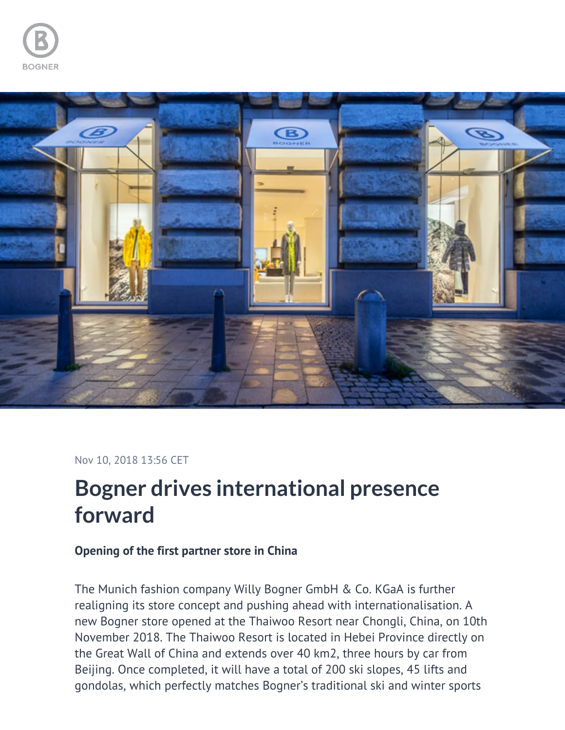



## Nov 10, 2018 13:56 CET

## **Bogner drives international presence forward**

## **Opening of the first partner store in China**

The Munich fashion company Willy Bogner GmbH & Co. KGaA is further realigning its store concept and pushing ahead with internationalisation. A new Bogner store opened at the Thaiwoo Resort near Chongli, China, on 10th November 2018. The Thaiwoo Resort is located in Hebei Province directly on the Great Wall of China and extends over 40 km2, three hours by car from Beijing. Once completed, it will have a total of 200 ski slopes, 45 lifts and gondolas, which perfectly matches Bogner's traditional ski and winter sports